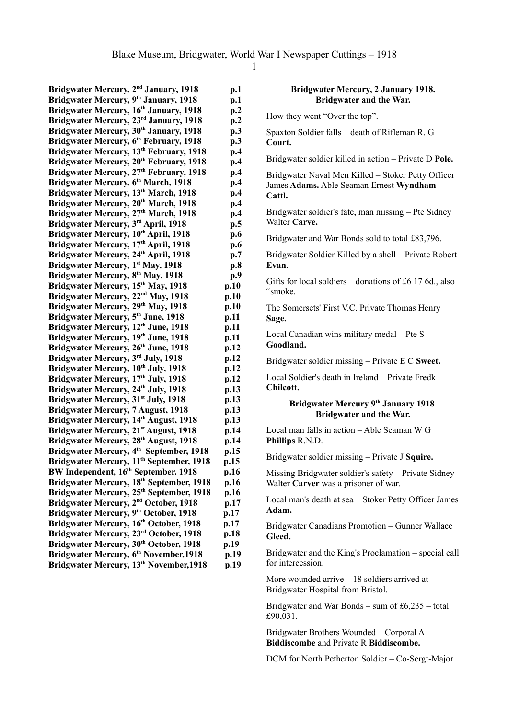Bridgwater Mercury, 2<sup>nd</sup> January, 1918 p.1 **Bridgwater Mercury, 9 th January, 1918 p.1 Bridgwater Mercury, 16th January, 1918 p.2 Bridgwater Mercury, 23rd January, 1918 p.2 Bridgwater Mercury, 30th January, 1918 p.3 Bridgwater Mercury, 6 th February, 1918 p.3 Bridgwater Mercury, 13th February, 1918 p.4 Bridgwater Mercury, 20th February, 1918 p.4 Bridgwater Mercury, 27th February, 1918 p.4 Bridgwater Mercury, 6 th March, 1918 p.4 Bridgwater Mercury, 13th March, 1918 p.4 Bridgwater Mercury, 20th March, 1918 p.4 Bridgwater Mercury, 27th March, 1918 p.4 Bridgwater Mercury, 3 rd April, 1918 p.5 Bridgwater Mercury, 10th April, 1918 p.6 Bridgwater Mercury, 17th April, 1918 p.6 Bridgwater Mercury, 24th April, 1918 p.7 Bridgwater Mercury, 1 st May, 1918 p.8 Bridgwater Mercury, 8 th May, 1918 p.9 Bridgwater Mercury, 15th May, 1918 p.10 Bridgwater Mercury, 22nd May, 1918 p.10 Bridgwater Mercury, 29th May, 1918 p.10 Bridgwater Mercury, 5 th June, 1918 p.11 Bridgwater Mercury, 12th June, 1918 p.11 Bridgwater Mercury, 19th June, 1918 p.11 Bridgwater Mercury, 26th June, 1918 p.12 Bridgwater Mercury, 3<sup>rd</sup> July, 1918 <b>p.12 Bridgwater Mercury, 10th July, 1918 p.12 Bridgwater Mercury, 17th July, 1918 p.12 Bridgwater Mercury, 24th July, 1918 p.13 Bridgwater Mercury, 31st July, 1918 p.13 Bridgwater Mercury, 7 August, 1918 p.13 Bridgwater Mercury, 14th August, 1918 p.13 Bridgwater Mercury, 21st August, 1918 p.14 Bridgwater Mercury, 28th August, 1918 p.14** Bridgwater Mercury, 4<sup>th</sup> September, 1918 p.15 **Bridgwater Mercury, 11th September, 1918 p.15 BW Independent, 16th September. 1918 p.16 Bridgwater Mercury, 18th September, 1918 p.16** Bridgwater Mercury, 25<sup>th</sup> September, 1918 p.16 **Bridgwater Mercury, 2<sup>nd</sup> October, 1918 p.17 Bridgwater Mercury, 9 th October, 1918 p.17 Bridgwater Mercury, 16th October, 1918 p.17 Bridgwater Mercury, 23rd October, 1918 p.18 Bridgwater Mercury, 30th October, 1918 p.19 Bridgwater Mercury, 6 th November,1918 p.19 Bridgwater Mercury, 13th November,1918 p.19**

| <b>Bridgwater Mercury, 2 January 1918.</b><br>Bridgwater and the War.                                   |
|---------------------------------------------------------------------------------------------------------|
| How they went "Over the top".                                                                           |
| Spaxton Soldier falls – death of Rifleman R. G<br>Court.                                                |
| Bridgwater soldier killed in action - Private D Pole.                                                   |
| Bridgwater Naval Men Killed - Stoker Petty Officer<br>James Adams. Able Seaman Ernest Wyndham<br>Cattl. |
| Bridgwater soldier's fate, man missing – Pte Sidney<br>Walter Carve.                                    |
| Bridgwater and War Bonds sold to total £83,796.                                                         |
| Bridgwater Soldier Killed by a shell – Private Robert<br>Evan.                                          |
| Gifts for local soldiers – donations of £6 17 6d., also<br>"smoke.                                      |
| The Somersets' First V.C. Private Thomas Henry<br>Sage.                                                 |
| Local Canadian wins military medal - Pte S<br>Goodland.                                                 |
| Bridgwater soldier missing – Private E C Sweet.                                                         |
| Local Soldier's death in Ireland - Private Fredk<br>Chilcott.                                           |
| Bridgwater Mercury 9th January 1918<br>Bridgwater and the War.                                          |
| Local man falls in action - Able Seaman W G<br>Phillips R.N.D.                                          |
| Bridgwater soldier missing - Private J Squire.                                                          |
| Missing Bridgwater soldier's safety - Private Sidney<br>Walter Carver was a prisoner of war.            |
| Local man's death at sea - Stoker Petty Officer James<br>Adam.                                          |
| Bridgwater Canadians Promotion - Gunner Wallace<br>Gleed.                                               |
| Bridgwater and the King's Proclamation – special call<br>for intercession.                              |
| More wounded arrive $-18$ soldiers arrived at<br>Bridgwater Hospital from Bristol.                      |
| Bridgwater and War Bonds – sum of $£6,235 - total$<br>£90,031.                                          |
| $$ $$ D $$ $$ $$ $$                                                                                     |

Bridgwater Brothers Wounded – Corporal A **Biddiscombe** and Private R **Biddiscombe.**

DCM for North Petherton Soldier – Co-Sergt-Major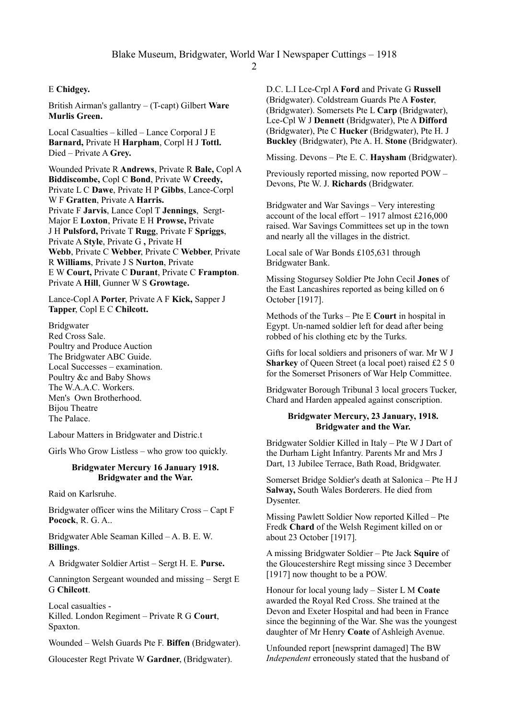# E **Chidgey.**

British Airman's gallantry – (T-capt) Gilbert **Ware Murlis Green.**

Local Casualties – killed – Lance Corporal J E **Barnard,** Private H **Harpham**, Corpl H J **Tottl.** Died – Private A **Grey.**

Wounded Private R **Andrews**, Private R **Bale,** Copl A **Biddiscombe,** Copl C **Bond**, Private W **Creedy,** Private L C **Dawe**, Private H P **Gibbs**, Lance-Corpl W F **Gratten**, Private A **Harris.** Private F **Jarvis**, Lance Copl T **Jennings**, Sergt-Major E **Loxton**, Private E H **Prowse,** Private J H **Pulsford,** Private T **Rugg**, Private F **Spriggs**, Private A **Style**, Private G **,** Private H **Webb**, Private C **Webber**, Private C **Webber**, Private R **Williams**, Private J S **Nurton**, Private E W **Court,** Private C **Durant**, Private C **Frampton**. Private A **Hill**, Gunner W S **Growtage.**

Lance-Copl A **Porter**, Private A F **Kick,** Sapper J **Tapper**, Copl E C **Chilcott.**

Bridgwater Red Cross Sale. Poultry and Produce Auction The Bridgwater ABC Guide. Local Successes – examination. Poultry &c and Baby Shows The W.A.A.C. Workers. Men's Own Brotherhood. Bijou Theatre The Palace.

Labour Matters in Bridgwater and Distric.t

Girls Who Grow Listless – who grow too quickly.

#### **Bridgwater Mercury 16 January 1918. Bridgwater and the War.**

Raid on Karlsruhe.

Bridgwater officer wins the Military Cross – Capt F **Pocock**, R. G. A..

Bridgwater Able Seaman Killed – A. B. E. W. **Billings**.

A Bridgwater Soldier Artist – Sergt H. E. **Purse.**

Cannington Sergeant wounded and missing – Sergt E G **Chilcott**.

Local casualties - Killed. London Regiment – Private R G **Court**, Spaxton.

Wounded – Welsh Guards Pte F. **Biffen** (Bridgwater).

Gloucester Regt Private W **Gardner**, (Bridgwater).

D.C. L.I Lce-Crpl A **Ford** and Private G **Russell** (Bridgwater). Coldstream Guards Pte A **Foster**, (Bridgwater). Somersets Pte L **Carp** (Bridgwater), Lce-Cpl W J **Dennett** (Bridgwater), Pte A **Difford** (Bridgwater), Pte C **Hucker** (Bridgwater), Pte H. J **Buckley** (Bridgwater), Pte A. H. **Stone** (Bridgwater).

Missing. Devons – Pte E. C. **Haysham** (Bridgwater).

Previously reported missing, now reported POW – Devons, Pte W. J. **Richards** (Bridgwater.

Bridgwater and War Savings – Very interesting account of the local effort – 1917 almost £216,000 raised. War Savings Committees set up in the town and nearly all the villages in the district.

Local sale of War Bonds £105,631 through Bridgwater Bank.

Missing Stogursey Soldier Pte John Cecil **Jones** of the East Lancashires reported as being killed on 6 October [1917].

Methods of the Turks – Pte E **Court** in hospital in Egypt. Un-named soldier left for dead after being robbed of his clothing etc by the Turks.

Gifts for local soldiers and prisoners of war. Mr W J **Sharkey** of Queen Street (a local poet) raised £2 5 0 for the Somerset Prisoners of War Help Committee.

Bridgwater Borough Tribunal 3 local grocers Tucker, Chard and Harden appealed against conscription.

### **Bridgwater Mercury, 23 January, 1918. Bridgwater and the War.**

Bridgwater Soldier Killed in Italy – Pte W J Dart of the Durham Light Infantry. Parents Mr and Mrs J Dart, 13 Jubilee Terrace, Bath Road, Bridgwater.

Somerset Bridge Soldier's death at Salonica – Pte H J **Salway,** South Wales Borderers. He died from Dysenter.

Missing Pawlett Soldier Now reported Killed – Pte Fredk **Chard** of the Welsh Regiment killed on or about 23 October [1917].

A missing Bridgwater Soldier – Pte Jack **Squire** of the Gloucestershire Regt missing since 3 December [1917] now thought to be a POW.

Honour for local young lady – Sister L M **Coate** awarded the Royal Red Cross. She trained at the Devon and Exeter Hospital and had been in France since the beginning of the War. She was the youngest daughter of Mr Henry **Coate** of Ashleigh Avenue.

Unfounded report [newsprint damaged] The BW *Independent* erroneously stated that the husband of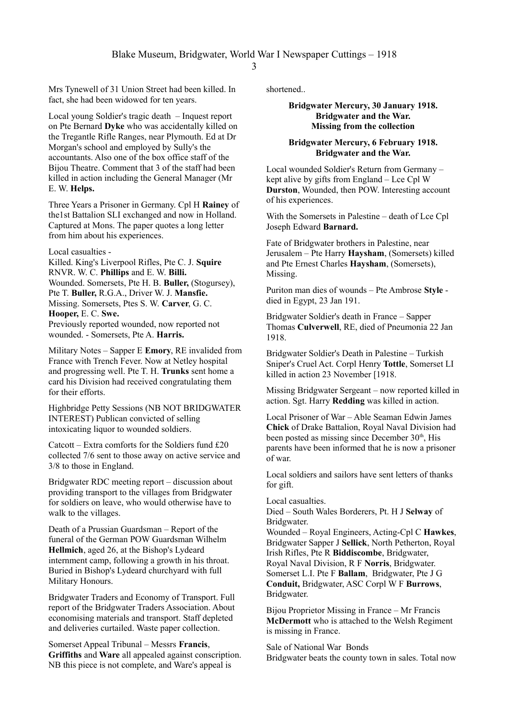Mrs Tynewell of 31 Union Street had been killed. In fact, she had been widowed for ten years.

Local young Soldier's tragic death – Inquest report on Pte Bernard **Dyke** who was accidentally killed on the Tregantle Rifle Ranges, near Plymouth. Ed at Dr Morgan's school and employed by Sully's the accountants. Also one of the box office staff of the Bijou Theatre. Comment that 3 of the staff had been killed in action including the General Manager (Mr E. W. **Helps.**

Three Years a Prisoner in Germany. Cpl H **Rainey** of the1st Battalion SLI exchanged and now in Holland. Captured at Mons. The paper quotes a long letter from him about his experiences.

Local casualties -

Killed. King's Liverpool Rifles, Pte C. J. **Squire** RNVR. W. C. **Phillips** and E. W. **Billi.** Wounded. Somersets, Pte H. B. **Buller,** (Stogursey), Pte T. **Buller,** R.G.A., Driver W. J. **Mansfie.** Missing. Somersets, Ptes S. W. **Carver**, G. C. **Hooper,** E. C. **Swe.**

Previously reported wounded, now reported not wounded. - Somersets, Pte A. **Harris.**

Military Notes – Sapper E **Emory**, RE invalided from France with Trench Fever. Now at Netley hospital and progressing well. Pte T. H. **Trunks** sent home a card his Division had received congratulating them for their efforts.

Highbridge Petty Sessions (NB NOT BRIDGWATER INTEREST) Publican convicted of selling intoxicating liquor to wounded soldiers.

Catcott – Extra comforts for the Soldiers fund £20 collected 7/6 sent to those away on active service and 3/8 to those in England.

Bridgwater RDC meeting report – discussion about providing transport to the villages from Bridgwater for soldiers on leave, who would otherwise have to walk to the villages.

Death of a Prussian Guardsman – Report of the funeral of the German POW Guardsman Wilhelm **Hellmich**, aged 26, at the Bishop's Lydeard internment camp, following a growth in his throat. Buried in Bishop's Lydeard churchyard with full Military Honours.

Bridgwater Traders and Economy of Transport. Full report of the Bridgwater Traders Association. About economising materials and transport. Staff depleted and deliveries curtailed. Waste paper collection.

Somerset Appeal Tribunal – Messrs **Francis**, **Griffiths** and **Ware** all appealed against conscription. NB this piece is not complete, and Ware's appeal is

shortened..

#### **Bridgwater Mercury, 30 January 1918. Bridgwater and the War. Missing from the collection**

# **Bridgwater Mercury, 6 February 1918. Bridgwater and the War.**

Local wounded Soldier's Return from Germany – kept alive by gifts from England – Lce Cpl W **Durston**, Wounded, then POW. Interesting account of his experiences.

With the Somersets in Palestine – death of Lce Cpl Joseph Edward **Barnard.**

Fate of Bridgwater brothers in Palestine, near Jerusalem – Pte Harry **Haysham**, (Somersets) killed and Pte Ernest Charles **Haysham**, (Somersets), Missing.

Puriton man dies of wounds – Pte Ambrose **Style**  died in Egypt, 23 Jan 191.

Bridgwater Soldier's death in France – Sapper Thomas **Culverwell**, RE, died of Pneumonia 22 Jan 1918.

Bridgwater Soldier's Death in Palestine – Turkish Sniper's Cruel Act. Corpl Henry **Tottle**, Somerset LI killed in action 23 November [1918.

Missing Bridgwater Sergeant – now reported killed in action. Sgt. Harry **Redding** was killed in action.

Local Prisoner of War – Able Seaman Edwin James **Chick** of Drake Battalion, Royal Naval Division had been posted as missing since December  $30<sup>th</sup>$ . His parents have been informed that he is now a prisoner of war.

Local soldiers and sailors have sent letters of thanks for gift.

Local casualties.

Died – South Wales Borderers, Pt. H J **Selway** of Bridgwater.

Wounded – Royal Engineers, Acting-Cpl C **Hawkes**, Bridgwater Sapper J **Sellick**, North Petherton, Royal Irish Rifles, Pte R **Biddiscombe**, Bridgwater, Royal Naval Division, R F **Norris**, Bridgwater. Somerset L.I. Pte F **Ballam**, Bridgwater, Pte J G **Conduit,** Bridgwater, ASC Corpl W F **Burrows**, Bridgwater.

Bijou Proprietor Missing in France – Mr Francis **McDermott** who is attached to the Welsh Regiment is missing in France.

Sale of National War Bonds Bridgwater beats the county town in sales. Total now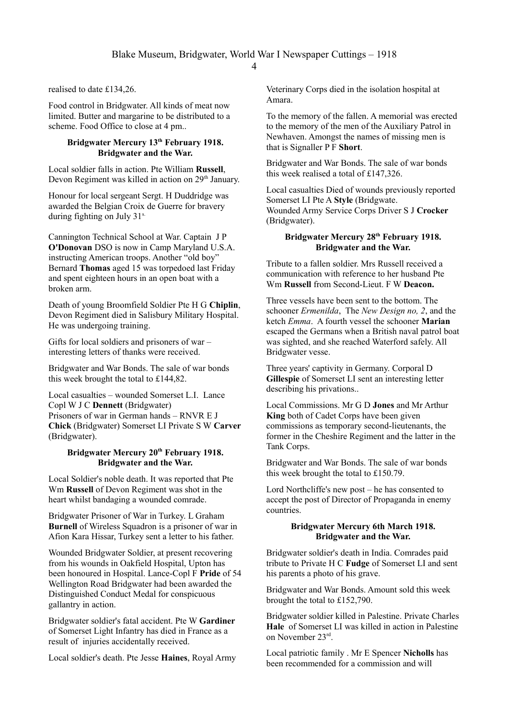realised to date £134,26.

Food control in Bridgwater. All kinds of meat now limited. Butter and margarine to be distributed to a scheme. Food Office to close at 4 pm..

# **Bridgwater Mercury 13th February 1918. Bridgwater and the War.**

Local soldier falls in action. Pte William **Russell**, Devon Regiment was killed in action on  $29<sup>th</sup>$  January.

Honour for local sergeant Sergt. H Duddridge was awarded the Belgian Croix de Guerre for bravery during fighting on July 31<sup>s.</sup>

Cannington Technical School at War. Captain J P **O'Donovan** DSO is now in Camp Maryland U.S.A. instructing American troops. Another "old boy" Bernard **Thomas** aged 15 was torpedoed last Friday and spent eighteen hours in an open boat with a broken arm.

Death of young Broomfield Soldier Pte H G **Chiplin**, Devon Regiment died in Salisbury Military Hospital. He was undergoing training.

Gifts for local soldiers and prisoners of war – interesting letters of thanks were received.

Bridgwater and War Bonds. The sale of war bonds this week brought the total to £144,82.

Local casualties – wounded Somerset L.I. Lance Copl W J C **Dennett** (Bridgwater) Prisoners of war in German hands – RNVR E J **Chick** (Bridgwater) Somerset LI Private S W **Carver** (Bridgwater).

### **Bridgwater Mercury 20th February 1918. Bridgwater and the War.**

Local Soldier's noble death. It was reported that Pte Wm **Russell** of Devon Regiment was shot in the heart whilst bandaging a wounded comrade.

Bridgwater Prisoner of War in Turkey. L Graham **Burnell** of Wireless Squadron is a prisoner of war in Afion Kara Hissar, Turkey sent a letter to his father.

Wounded Bridgwater Soldier, at present recovering from his wounds in Oakfield Hospital, Upton has been honoured in Hospital. Lance-Copl F **Pride** of 54 Wellington Road Bridgwater had been awarded the Distinguished Conduct Medal for conspicuous gallantry in action.

Bridgwater soldier's fatal accident. Pte W **Gardiner**  of Somerset Light Infantry has died in France as a result of injuries accidentally received.

Local soldier's death. Pte Jesse **Haines**, Royal Army

Veterinary Corps died in the isolation hospital at Amara.

To the memory of the fallen. A memorial was erected to the memory of the men of the Auxiliary Patrol in Newhaven. Amongst the names of missing men is that is Signaller P F **Short**.

Bridgwater and War Bonds. The sale of war bonds this week realised a total of £147,326.

Local casualties Died of wounds previously reported Somerset LI Pte A **Style** (Bridgwate. Wounded Army Service Corps Driver S J **Crocker** (Bridgwater).

# **Bridgwater Mercury 28th February 1918. Bridgwater and the War.**

Tribute to a fallen soldier. Mrs Russell received a communication with reference to her husband Pte Wm **Russell** from Second-Lieut. F W **Deacon.**

Three vessels have been sent to the bottom. The schooner *Ermenilda*, The *New Design no, 2*, and the ketch *Emma*. A fourth vessel the schooner **Marian**  escaped the Germans when a British naval patrol boat was sighted, and she reached Waterford safely. All Bridgwater vesse.

Three years' captivity in Germany. Corporal D **Gillespie** of Somerset LI sent an interesting letter describing his privations..

Local Commissions. Mr G D **Jones** and Mr Arthur **King** both of Cadet Corps have been given commissions as temporary second-lieutenants, the former in the Cheshire Regiment and the latter in the Tank Corps.

Bridgwater and War Bonds. The sale of war bonds this week brought the total to £150.79.

Lord Northcliffe's new post – he has consented to accept the post of Director of Propaganda in enemy countries.

#### **Bridgwater Mercury 6th March 1918. Bridgwater and the War.**

Bridgwater soldier's death in India. Comrades paid tribute to Private H C **Fudge** of Somerset LI and sent his parents a photo of his grave.

Bridgwater and War Bonds. Amount sold this week brought the total to £152,790.

Bridgwater soldier killed in Palestine. Private Charles **Hale** of Somerset LI was killed in action in Palestine on November 23rd .

Local patriotic family . Mr E Spencer **Nicholls** has been recommended for a commission and will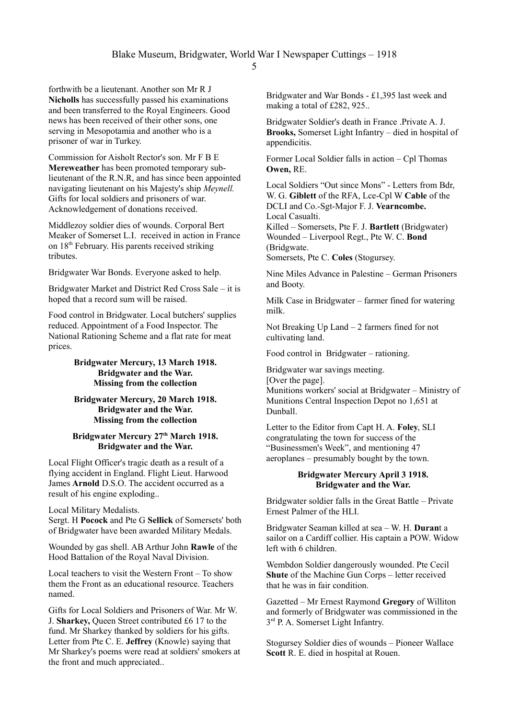forthwith be a lieutenant. Another son Mr R J **Nicholls** has successfully passed his examinations and been transferred to the Royal Engineers. Good news has been received of their other sons, one serving in Mesopotamia and another who is a prisoner of war in Turkey.

Commission for Aisholt Rector's son. Mr F B E **Mereweather** has been promoted temporary sublieutenant of the R.N.R, and has since been appointed navigating lieutenant on his Majesty's ship *Meynell.* Gifts for local soldiers and prisoners of war. Acknowledgement of donations received.

Middlezoy soldier dies of wounds. Corporal Bert Meaker of Somerset L.I. received in action in France on  $18<sup>th</sup>$  February. His parents received striking tributes.

Bridgwater War Bonds. Everyone asked to help.

Bridgwater Market and District Red Cross Sale – it is hoped that a record sum will be raised.

Food control in Bridgwater. Local butchers' supplies reduced. Appointment of a Food Inspector. The National Rationing Scheme and a flat rate for meat prices.

## **Bridgwater Mercury, 13 March 1918. Bridgwater and the War. Missing from the collection**

### **Bridgwater Mercury, 20 March 1918. Bridgwater and the War. Missing from the collection**

#### **Bridgwater Mercury 27th March 1918. Bridgwater and the War.**

Local Flight Officer's tragic death as a result of a flying accident in England. Flight Lieut. Harwood James **Arnold** D.S.O. The accident occurred as a result of his engine exploding..

Local Military Medalists.

Sergt. H **Pocock** and Pte G **Sellick** of Somersets' both of Bridgwater have been awarded Military Medals.

Wounded by gas shell. AB Arthur John **Rawle** of the Hood Battalion of the Royal Naval Division.

Local teachers to visit the Western Front – To show them the Front as an educational resource. Teachers named.

Gifts for Local Soldiers and Prisoners of War. Mr W. J. **Sharkey,** Queen Street contributed £6 17 to the fund. Mr Sharkey thanked by soldiers for his gifts. Letter from Pte C. E. **Jeffrey** (Knowle) saying that Mr Sharkey's poems were read at soldiers' smokers at the front and much appreciated..

Bridgwater and War Bonds - £1,395 last week and making a total of £282, 925..

Bridgwater Soldier's death in France .Private A. J. **Brooks,** Somerset Light Infantry – died in hospital of appendicitis.

Former Local Soldier falls in action – Cpl Thomas **Owen,** RE.

Local Soldiers "Out since Mons" - Letters from Bdr, W. G. **Giblett** of the RFA, Lce-Cpl W **Cable** of the DCLI and Co.-Sgt-Major F. J. **Vearncombe.** Local Casualti.

Killed – Somersets, Pte F. J. **Bartlett** (Bridgwater) Wounded – Liverpool Regt., Pte W. C. **Bond** (Bridgwate.

Somersets, Pte C. **Coles** (Stogursey.

Nine Miles Advance in Palestine – German Prisoners and Booty.

Milk Case in Bridgwater – farmer fined for watering milk.

Not Breaking Up Land – 2 farmers fined for not cultivating land.

Food control in Bridgwater – rationing.

Bridgwater war savings meeting. [Over the page]. Munitions workers' social at Bridgwater – Ministry of Munitions Central Inspection Depot no 1,651 at Dunball.

Letter to the Editor from Capt H. A. **Foley**, SLI congratulating the town for success of the "Businessmen's Week", and mentioning 47 aeroplanes – presumably bought by the town.

#### **Bridgwater Mercury April 3 1918. Bridgwater and the War.**

Bridgwater soldier falls in the Great Battle – Private Ernest Palmer of the HLI.

Bridgwater Seaman killed at sea – W. H. **Duran**t a sailor on a Cardiff collier. His captain a POW. Widow left with 6 children.

Wembdon Soldier dangerously wounded. Pte Cecil **Shute** of the Machine Gun Corps – letter received that he was in fair condition.

Gazetted – Mr Ernest Raymond **Gregory** of Williton and formerly of Bridgwater was commissioned in the 3<sup>rd</sup> P. A. Somerset Light Infantry.

Stogursey Soldier dies of wounds – Pioneer Wallace **Scott** R. E. died in hospital at Rouen.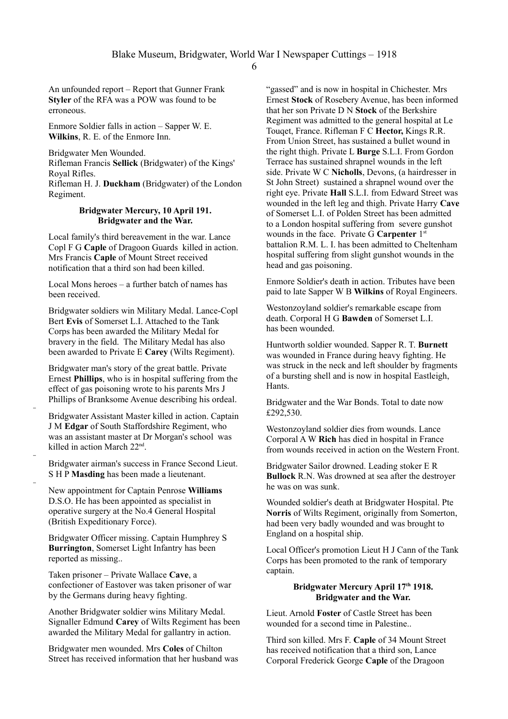An unfounded report – Report that Gunner Frank **Styler** of the RFA was a POW was found to be erroneous.

Enmore Soldier falls in action – Sapper W. E. **Wilkins**, R. E. of the Enmore Inn.

Bridgwater Men Wounded.

Rifleman Francis **Sellick** (Bridgwater) of the Kings' Royal Rifles.

Rifleman H. J. **Duckham** (Bridgwater) of the London Regiment.

#### **Bridgwater Mercury, 10 April 191. Bridgwater and the War.**

Local family's third bereavement in the war. Lance Copl F G **Caple** of Dragoon Guards killed in action. Mrs Francis **Caple** of Mount Street received notification that a third son had been killed.

Local Mons heroes – a further batch of names has been received.

Bridgwater soldiers win Military Medal. Lance-Copl Bert **Evis** of Somerset L.I. Attached to the Tank Corps has been awarded the Military Medal for bravery in the field. The Military Medal has also been awarded to Private E **Carey** (Wilts Regiment).

Bridgwater man's story of the great battle. Private Ernest **Phillips**, who is in hospital suffering from the effect of gas poisoning wrote to his parents Mrs J Phillips of Branksome Avenue describing his ordeal.

Bridgwater Assistant Master killed in action. Captain J M **Edgar** of South Staffordshire Regiment, who was an assistant master at Dr Morgan's school was killed in action March 22nd .

–

–

–

Bridgwater airman's success in France Second Lieut. S H P **Masding** has been made a lieutenant.

New appointment for Captain Penrose **Williams** D.S.O. He has been appointed as specialist in operative surgery at the No.4 General Hospital (British Expeditionary Force).

Bridgwater Officer missing. Captain Humphrey S **Burrington**, Somerset Light Infantry has been reported as missing..

Taken prisoner – Private Wallace **Cave**, a confectioner of Eastover was taken prisoner of war by the Germans during heavy fighting.

Another Bridgwater soldier wins Military Medal. Signaller Edmund **Carey** of Wilts Regiment has been awarded the Military Medal for gallantry in action.

Bridgwater men wounded. Mrs **Coles** of Chilton Street has received information that her husband was "gassed" and is now in hospital in Chichester. Mrs Ernest **Stock** of Rosebery Avenue, has been informed that her son Private D N **Stock** of the Berkshire Regiment was admitted to the general hospital at Le Touqet, France. Rifleman F C **Hector,** Kings R.R. From Union Street, has sustained a bullet wound in the right thigh. Private L **Burge** S.L.I. From Gordon Terrace has sustained shrapnel wounds in the left side. Private W C **Nicholls**, Devons, (a hairdresser in St John Street) sustained a shrapnel wound over the right eye. Private **Hall** S.L.I. from Edward Street was wounded in the left leg and thigh. Private Harry **Cave** of Somerset L.I. of Polden Street has been admitted to a London hospital suffering from severe gunshot wounds in the face. Private G **Carpenter** 1<sup>st</sup> battalion R.M. L. I. has been admitted to Cheltenham hospital suffering from slight gunshot wounds in the head and gas poisoning.

Enmore Soldier's death in action. Tributes have been paid to late Sapper W B **Wilkins** of Royal Engineers.

Westonzoyland soldier's remarkable escape from death. Corporal H G **Bawden** of Somerset L.I. has been wounded.

Huntworth soldier wounded. Sapper R. T. **Burnett** was wounded in France during heavy fighting. He was struck in the neck and left shoulder by fragments of a bursting shell and is now in hospital Eastleigh, Hants.

Bridgwater and the War Bonds. Total to date now £292,530.

Westonzoyland soldier dies from wounds. Lance Corporal A W **Rich** has died in hospital in France from wounds received in action on the Western Front.

Bridgwater Sailor drowned. Leading stoker E R **Bullock** R.N. Was drowned at sea after the destroyer he was on was sunk.

Wounded soldier's death at Bridgwater Hospital. Pte **Norris** of Wilts Regiment, originally from Somerton, had been very badly wounded and was brought to England on a hospital ship.

Local Officer's promotion Lieut H J Cann of the Tank Corps has been promoted to the rank of temporary captain.

## **Bridgwater Mercury April 17th 1918. Bridgwater and the War.**

Lieut. Arnold **Foster** of Castle Street has been wounded for a second time in Palestine..

Third son killed. Mrs F. **Caple** of 34 Mount Street has received notification that a third son, Lance Corporal Frederick George **Caple** of the Dragoon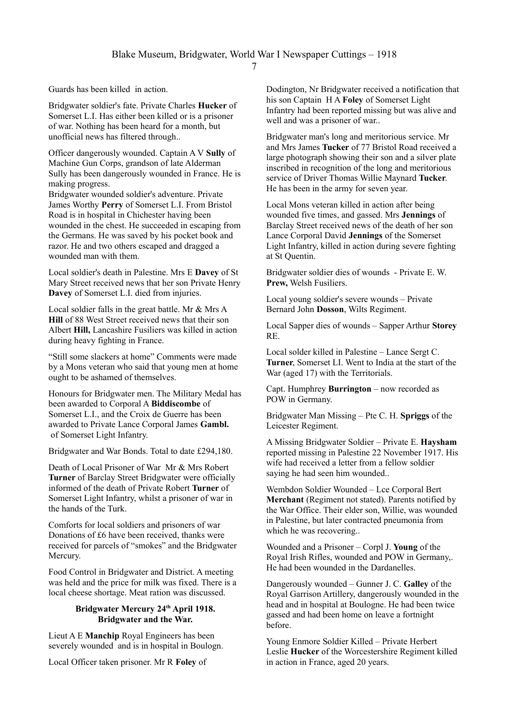Guards has been killed in action.

Bridgwater soldier's fate. Private Charles **Hucker** of Somerset L.I. Has either been killed or is a prisoner of war. Nothing has been heard for a month, but unofficial news has filtered through..

Officer dangerously wounded. Captain A V **Sully** of Machine Gun Corps, grandson of late Alderman Sully has been dangerously wounded in France. He is making progress.

Bridgwater wounded soldier's adventure. Private James Worthy **Perry** of Somerset L.I. From Bristol Road is in hospital in Chichester having been wounded in the chest. He succeeded in escaping from the Germans. He was saved by his pocket book and razor. He and two others escaped and dragged a wounded man with them.

Local soldier's death in Palestine. Mrs E **Davey** of St Mary Street received news that her son Private Henry **Davey** of Somerset L.I. died from injuries.

Local soldier falls in the great battle. Mr & Mrs A **Hill** of 88 West Street received news that their son Albert **Hill,** Lancashire Fusiliers was killed in action during heavy fighting in France.

"Still some slackers at home" Comments were made by a Mons veteran who said that young men at home ought to be ashamed of themselves.

Honours for Bridgwater men. The Military Medal has been awarded to Corporal A **Biddiscombe** of Somerset L.I., and the Croix de Guerre has been awarded to Private Lance Corporal James **Gambl.** of Somerset Light Infantry.

Bridgwater and War Bonds. Total to date £294,180.

Death of Local Prisoner of War Mr & Mrs Robert **Turner** of Barclay Street Bridgwater were officially informed of the death of Private Robert **Turner** of Somerset Light Infantry, whilst a prisoner of war in the hands of the Turk.

Comforts for local soldiers and prisoners of war Donations of £6 have been received, thanks were received for parcels of "smokes" and the Bridgwater Mercury.

Food Control in Bridgwater and District. A meeting was held and the price for milk was fixed. There is a local cheese shortage. Meat ration was discussed.

# **Bridgwater Mercury 24th April 1918. Bridgwater and the War.**

Lieut A E **Manchip** Royal Engineers has been severely wounded and is in hospital in Boulogn.

Local Officer taken prisoner. Mr R **Foley** of

Dodington, Nr Bridgwater received a notification that his son Captain H A **Foley** of Somerset Light Infantry had been reported missing but was alive and well and was a prisoner of war..

Bridgwater man's long and meritorious service. Mr and Mrs James **Tucker** of 77 Bristol Road received a large photograph showing their son and a silver plate inscribed in recognition of the long and meritorious service of Driver Thomas Willie Maynard **Tucker**. He has been in the army for seven year.

Local Mons veteran killed in action after being wounded five times, and gassed. Mrs **Jennings** of Barclay Street received news of the death of her son Lance Corporal David **Jennings** of the Somerset Light Infantry, killed in action during severe fighting at St Quentin.

Bridgwater soldier dies of wounds - Private E. W. **Prew,** Welsh Fusiliers.

Local young soldier's severe wounds – Private Bernard John **Dosson**, Wilts Regiment.

Local Sapper dies of wounds – Sapper Arthur **Storey** RE.

Local solder killed in Palestine – Lance Sergt C. **Turner**, Somerset LI. Went to India at the start of the War (aged 17) with the Territorials.

Capt. Humphrey **Burrington** – now recorded as POW in Germany.

Bridgwater Man Missing – Pte C. H. **Spriggs** of the Leicester Regiment.

A Missing Bridgwater Soldier – Private E. **Haysham**  reported missing in Palestine 22 November 1917. His wife had received a letter from a fellow soldier saying he had seen him wounded..

Wembdon Soldier Wounded – Lce Corporal Bert **Merchant** (Regiment not stated). Parents notified by the War Office. Their elder son, Willie, was wounded in Palestine, but later contracted pneumonia from which he was recovering..

Wounded and a Prisoner – Corpl J. **Young** of the Royal Irish Rifles, wounded and POW in Germany,. He had been wounded in the Dardanelles.

Dangerously wounded – Gunner J. C. **Galley** of the Royal Garrison Artillery, dangerously wounded in the head and in hospital at Boulogne. He had been twice gassed and had been home on leave a fortnight before.

Young Enmore Soldier Killed – Private Herbert Leslie **Hucker** of the Worcestershire Regiment killed in action in France, aged 20 years.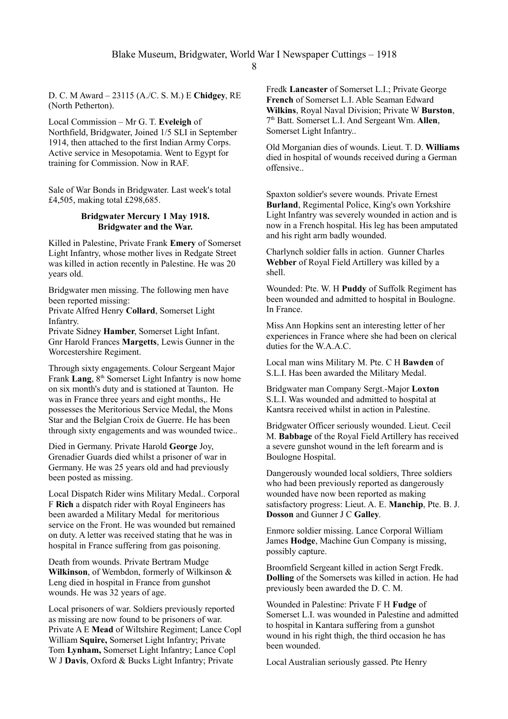D. C. M Award – 23115 (A./C. S. M.) E **Chidgey**, RE (North Petherton).

Local Commission – Mr G. T. **Eveleigh** of Northfield, Bridgwater, Joined 1/5 SLI in September 1914, then attached to the first Indian Army Corps. Active service in Mesopotamia. Went to Egypt for training for Commission. Now in RAF.

Sale of War Bonds in Bridgwater. Last week's total £4,505, making total £298,685.

### **Bridgwater Mercury 1 May 1918. Bridgwater and the War.**

Killed in Palestine, Private Frank **Emery** of Somerset Light Infantry, whose mother lives in Redgate Street was killed in action recently in Palestine. He was 20 years old.

Bridgwater men missing. The following men have been reported missing:

Private Alfred Henry **Collard**, Somerset Light Infantry.

Private Sidney **Hamber**, Somerset Light Infant. Gnr Harold Frances **Margetts**, Lewis Gunner in the Worcestershire Regiment.

Through sixty engagements. Colour Sergeant Major Frank **Lang**,  $8<sup>th</sup>$  Somerset Light Infantry is now home on six month's duty and is stationed at Taunton. He was in France three years and eight months,. He possesses the Meritorious Service Medal, the Mons Star and the Belgian Croix de Guerre. He has been through sixty engagements and was wounded twice..

Died in Germany. Private Harold **George** Joy, Grenadier Guards died whilst a prisoner of war in Germany. He was 25 years old and had previously been posted as missing.

Local Dispatch Rider wins Military Medal.. Corporal F **Rich** a dispatch rider with Royal Engineers has been awarded a Military Medal for meritorious service on the Front. He was wounded but remained on duty. A letter was received stating that he was in hospital in France suffering from gas poisoning.

Death from wounds. Private Bertram Mudge **Wilkinson**, of Wembdon, formerly of Wilkinson & Leng died in hospital in France from gunshot wounds. He was 32 years of age.

Local prisoners of war. Soldiers previously reported as missing are now found to be prisoners of war. Private A E **Mead** of Wiltshire Regiment; Lance Copl William **Squire,** Somerset Light Infantry; Private Tom **Lynham,** Somerset Light Infantry; Lance Copl W J **Davis**, Oxford & Bucks Light Infantry; Private

Fredk **Lancaster** of Somerset L.I.; Private George **French** of Somerset L.I. Able Seaman Edward **Wilkins**, Royal Naval Division; Private W **Burston**, 7 th Batt. Somerset L.I. And Sergeant Wm. **Allen**, Somerset Light Infantry..

Old Morganian dies of wounds. Lieut. T. D. **Williams** died in hospital of wounds received during a German offensive..

Spaxton soldier's severe wounds. Private Ernest **Burland**, Regimental Police, King's own Yorkshire Light Infantry was severely wounded in action and is now in a French hospital. His leg has been amputated and his right arm badly wounded.

Charlynch soldier falls in action. Gunner Charles **Webber** of Royal Field Artillery was killed by a shell.

Wounded: Pte. W. H **Puddy** of Suffolk Regiment has been wounded and admitted to hospital in Boulogne. In France.

Miss Ann Hopkins sent an interesting letter of her experiences in France where she had been on clerical duties for the W.A.A.C.

Local man wins Military M. Pte. C H **Bawden** of S.L.I. Has been awarded the Military Medal.

Bridgwater man Company Sergt.-Major **Loxton** S.L.I. Was wounded and admitted to hospital at Kantsra received whilst in action in Palestine.

Bridgwater Officer seriously wounded. Lieut. Cecil M. **Babbage** of the Royal Field Artillery has received a severe gunshot wound in the left forearm and is Boulogne Hospital.

Dangerously wounded local soldiers, Three soldiers who had been previously reported as dangerously wounded have now been reported as making satisfactory progress: Lieut. A. E. **Manchip**, Pte. B. J. **Dosson** and Gunner J C **Galley**.

Enmore soldier missing. Lance Corporal William James **Hodge**, Machine Gun Company is missing, possibly capture.

Broomfield Sergeant killed in action Sergt Fredk. **Dolling** of the Somersets was killed in action. He had previously been awarded the D. C. M.

Wounded in Palestine: Private F H **Fudge** of Somerset L.I. was wounded in Palestine and admitted to hospital in Kantara suffering from a gunshot wound in his right thigh, the third occasion he has been wounded.

Local Australian seriously gassed. Pte Henry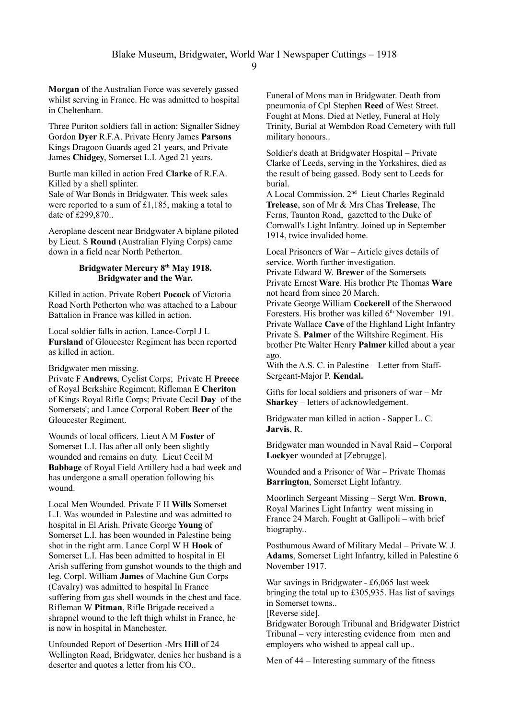**Morgan** of the Australian Force was severely gassed whilst serving in France. He was admitted to hospital in Cheltenham.

Three Puriton soldiers fall in action: Signaller Sidney Gordon **Dyer** R.F.A. Private Henry James **Parsons** Kings Dragoon Guards aged 21 years, and Private James **Chidgey**, Somerset L.I. Aged 21 years.

Burtle man killed in action Fred **Clarke** of R.F.A. Killed by a shell splinter. Sale of War Bonds in Bridgwater. This week sales were reported to a sum of £1,185, making a total to date of £299,870...

Aeroplane descent near Bridgwater A biplane piloted by Lieut. S **Round** (Australian Flying Corps) came down in a field near North Petherton.

#### **Bridgwater Mercury 8th May 1918. Bridgwater and the War.**

Killed in action. Private Robert **Pocock** of Victoria Road North Petherton who was attached to a Labour Battalion in France was killed in action.

Local soldier falls in action. Lance-Corpl J L **Fursland** of Gloucester Regiment has been reported as killed in action.

Bridgwater men missing.

Private F **Andrews**, Cyclist Corps; Private H **Preece** of Royal Berkshire Regiment; Rifleman E **Cheriton** of Kings Royal Rifle Corps; Private Cecil **Day** of the Somersets'; and Lance Corporal Robert **Beer** of the Gloucester Regiment.

Wounds of local officers. Lieut A M **Foster** of Somerset L.I. Has after all only been slightly wounded and remains on duty. Lieut Cecil M **Babbage** of Royal Field Artillery had a bad week and has undergone a small operation following his wound.

Local Men Wounded. Private F H **Wills** Somerset L.I. Was wounded in Palestine and was admitted to hospital in El Arish. Private George **Young** of Somerset L.I. has been wounded in Palestine being shot in the right arm. Lance Corpl W H **Hook** of Somerset L.I. Has been admitted to hospital in El Arish suffering from gunshot wounds to the thigh and leg. Corpl. William **James** of Machine Gun Corps (Cavalry) was admitted to hospital In France suffering from gas shell wounds in the chest and face. Rifleman W **Pitman**, Rifle Brigade received a shrapnel wound to the left thigh whilst in France, he is now in hospital in Manchester.

Unfounded Report of Desertion -Mrs **Hill** of 24 Wellington Road, Bridgwater, denies her husband is a deserter and quotes a letter from his CO..

Funeral of Mons man in Bridgwater. Death from pneumonia of Cpl Stephen **Reed** of West Street. Fought at Mons. Died at Netley, Funeral at Holy Trinity, Burial at Wembdon Road Cemetery with full military honours..

Soldier's death at Bridgwater Hospital – Private Clarke of Leeds, serving in the Yorkshires, died as the result of being gassed. Body sent to Leeds for burial.

A Local Commission. 2nd Lieut Charles Reginald **Trelease**, son of Mr & Mrs Chas **Trelease**, The Ferns, Taunton Road, gazetted to the Duke of Cornwall's Light Infantry. Joined up in September 1914, twice invalided home.

Local Prisoners of War – Article gives details of service. Worth further investigation. Private Edward W. **Brewer** of the Somersets Private Ernest **Ware**. His brother Pte Thomas **Ware**

not heard from since 20 March. Private George William **Cockerell** of the Sherwood Foresters. His brother was killed 6<sup>th</sup> November 191. Private Wallace **Cave** of the Highland Light Infantry Private S. **Palmer** of the Wiltshire Regiment. His brother Pte Walter Henry **Palmer** killed about a year ago.

With the A.S. C. in Palestine – Letter from Staff-Sergeant-Major P. **Kendal.**

Gifts for local soldiers and prisoners of war – Mr **Sharkey** – letters of acknowledgement.

Bridgwater man killed in action - Sapper L. C. **Jarvis**, R.

Bridgwater man wounded in Naval Raid – Corporal **Lockyer** wounded at [Zebrugge].

Wounded and a Prisoner of War – Private Thomas **Barrington**, Somerset Light Infantry.

Moorlinch Sergeant Missing – Sergt Wm. **Brown**, Royal Marines Light Infantry went missing in France 24 March. Fought at Gallipoli – with brief biography..

Posthumous Award of Military Medal – Private W. J. **Adams**, Somerset Light Infantry, killed in Palestine 6 November 1917.

War savings in Bridgwater - £6,065 last week bringing the total up to £305,935. Has list of savings in Somerset towns..

[Reverse side].

Bridgwater Borough Tribunal and Bridgwater District Tribunal – very interesting evidence from men and employers who wished to appeal call up..

Men of 44 – Interesting summary of the fitness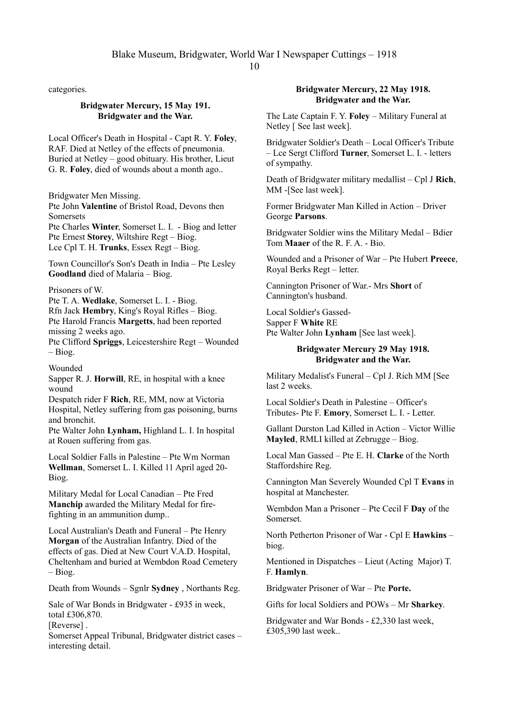categories.

# **Bridgwater Mercury, 15 May 191. Bridgwater and the War.**

Local Officer's Death in Hospital - Capt R. Y. **Foley**, RAF. Died at Netley of the effects of pneumonia. Buried at Netley – good obituary. His brother, Lieut G. R. **Foley**, died of wounds about a month ago..

Bridgwater Men Missing.

Pte John **Valentine** of Bristol Road, Devons then Somersets

Pte Charles **Winter**, Somerset L. I. - Biog and letter Pte Ernest **Storey**, Wiltshire Regt – Biog. Lce Cpl T. H. **Trunks**, Essex Regt – Biog.

Town Councillor's Son's Death in India – Pte Lesley **Goodland** died of Malaria – Biog.

Prisoners of W.

Pte T. A. **Wedlake**, Somerset L. I. - Biog. Rfn Jack **Hembry**, King's Royal Rifles – Biog. Pte Harold Francis **Margetts**, had been reported missing 2 weeks ago.

Pte Clifford **Spriggs**, Leicestershire Regt – Wounded – Biog.

Wounded

Sapper R. J. **Horwill**, RE, in hospital with a knee wound

Despatch rider F **Rich**, RE, MM, now at Victoria Hospital, Netley suffering from gas poisoning, burns and bronchit.

Pte Walter John **Lynham,** Highland L. I. In hospital at Rouen suffering from gas.

Local Soldier Falls in Palestine – Pte Wm Norman **Wellman**, Somerset L. I. Killed 11 April aged 20- Biog.

Military Medal for Local Canadian – Pte Fred **Manchip** awarded the Military Medal for firefighting in an ammunition dump..

Local Australian's Death and Funeral – Pte Henry **Morgan** of the Australian Infantry. Died of the effects of gas. Died at New Court V.A.D. Hospital, Cheltenham and buried at Wembdon Road Cemetery – Biog.

Death from Wounds – Sgnlr **Sydney** , Northants Reg.

Sale of War Bonds in Bridgwater - £935 in week, total £306,870.

[Reverse].

Somerset Appeal Tribunal, Bridgwater district cases – interesting detail.

# **Bridgwater Mercury, 22 May 1918. Bridgwater and the War.**

The Late Captain F. Y. **Foley** – Military Funeral at Netley [ See last week].

Bridgwater Soldier's Death – Local Officer's Tribute – Lce Sergt Clifford **Turner**, Somerset L. I. - letters of sympathy.

Death of Bridgwater military medallist – Cpl J **Rich**, MM -[See last week].

Former Bridgwater Man Killed in Action – Driver George **Parsons**.

Bridgwater Soldier wins the Military Medal – Bdier Tom **Maaer** of the R. F. A. - Bio.

Wounded and a Prisoner of War – Pte Hubert **Preece**, Royal Berks Regt – letter.

Cannington Prisoner of War.- Mrs **Short** of Cannington's husband.

Local Soldier's Gassed-Sapper F **White** RE Pte Walter John **Lynham** [See last week].

# **Bridgwater Mercury 29 May 1918. Bridgwater and the War.**

Military Medalist's Funeral – Cpl J. Rich MM [See last 2 weeks.

Local Soldier's Death in Palestine – Officer's Tributes- Pte F. **Emory**, Somerset L. I. - Letter.

Gallant Durston Lad Killed in Action – Victor Willie **Mayled**, RMLI killed at Zebrugge – Biog.

Local Man Gassed – Pte E. H. **Clarke** of the North Staffordshire Reg.

Cannington Man Severely Wounded Cpl T **Evans** in hospital at Manchester.

Wembdon Man a Prisoner – Pte Cecil F **Day** of the Somerset.

North Petherton Prisoner of War - Cpl E **Hawkins** – biog.

Mentioned in Dispatches – Lieut (Acting Major) T. F. **Hamlyn**.

Bridgwater Prisoner of War – Pte **Porte.**

Gifts for local Soldiers and POWs – Mr **Sharkey**.

Bridgwater and War Bonds - £2,330 last week, £305,390 last week..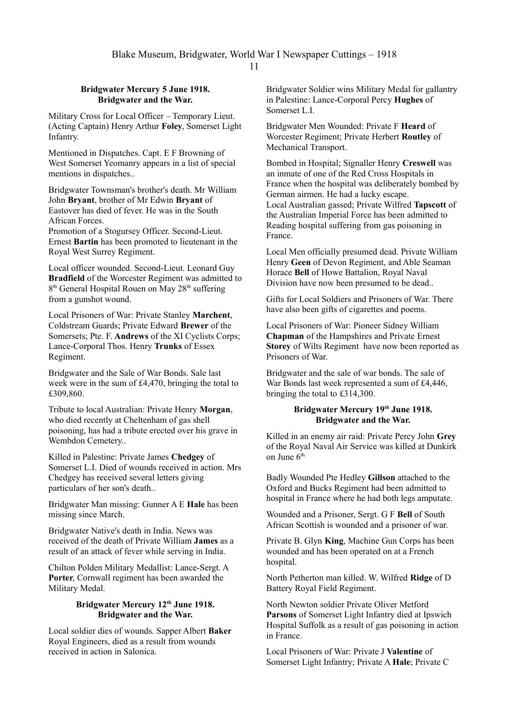# **Bridgwater Mercury 5 June 1918. Bridgwater and the War.**

Military Cross for Local Officer – Temporary Lieut. (Acting Captain) Henry Arthur **Foley**, Somerset Light Infantry.

Mentioned in Dispatches. Capt. E F Browning of West Somerset Yeomanry appears in a list of special mentions in dispatches..

Bridgwater Townsman's brother's death. Mr William John **Bryant**, brother of Mr Edwin **Bryant** of Eastover has died of fever. He was in the South African Forces.

Promotion of a Stogursey Officer. Second-Lieut. Ernest **Bartin** has been promoted to lieutenant in the Royal West Surrey Regiment.

Local officer wounded. Second-Lieut. Leonard Guy **Bradfield** of the Worcester Regiment was admitted to 8<sup>th</sup> General Hospital Rouen on May 28<sup>th</sup> suffering from a gunshot wound.

Local Prisoners of War: Private Stanley **Marchent**, Coldstream Guards; Private Edward **Brewer** of the Somersets; Pte. F. **Andrews** of the XI Cyclists Corps; Lance-Corporal Thos. Henry **Trunks** of Essex Regiment.

Bridgwater and the Sale of War Bonds. Sale last week were in the sum of £4,470, bringing the total to £309,860.

Tribute to local Australian: Private Henry **Morgan**, who died recently at Cheltenham of gas shell poisoning, has had a tribute erected over his grave in Wembdon Cemetery..

Killed in Palestine: Private James **Chedgey** of Somerset L.I. Died of wounds received in action. Mrs Chedgey has received several letters giving particulars of her son's death..

Bridgwater Man missing: Gunner A E **Hale** has been missing since March.

Bridgwater Native's death in India. News was received of the death of Private William **James** as a result of an attack of fever while serving in India.

Chilton Polden Military Medallist: Lance-Sergt. A **Porter**, Cornwall regiment has been awarded the Military Medal.

# **Bridgwater Mercury 12th June 1918. Bridgwater and the War.**

Local soldier dies of wounds. Sapper Albert **Baker** Royal Engineers, died as a result from wounds received in action in Salonica.

Bridgwater Soldier wins Military Medal for gallantry in Palestine: Lance-Corporal Percy **Hughes** of Somerset L.I.

Bridgwater Men Wounded: Private F **Heard** of Worcester Regiment; Private Herbert **Routley** of Mechanical Transport.

Bombed in Hospital; Signaller Henry **Creswell** was an inmate of one of the Red Cross Hospitals in France when the hospital was deliberately bombed by German airmen. He had a lucky escape. Local Australian gassed; Private Wilfred **Tapscott** of the Australian Imperial Force has been admitted to Reading hospital suffering from gas poisoning in France.

Local Men officially presumed dead. Private William Henry **Geen** of Devon Regiment, and Able Seaman Horace **Bell** of Howe Battalion, Royal Naval Division have now been presumed to be dead..

Gifts for Local Soldiers and Prisoners of War. There have also been gifts of cigarettes and poems.

Local Prisoners of War: Pioneer Sidney William **Chapman** of the Hampshires and Private Ernest **Storey** of Wilts Regiment have now been reported as Prisoners of War.

Bridgwater and the sale of war bonds. The sale of War Bonds last week represented a sum of £4,446, bringing the total to £314,300.

## **Bridgwater Mercury 19th June 1918. Bridgwater and the War.**

Killed in an enemy air raid: Private Percy John **Grey**  of the Royal Naval Air Service was killed at Dunkirk on June 6<sup>th.</sup>

Badly Wounded Pte Hedley **Gillson** attached to the Oxford and Bucks Regiment had been admitted to hospital in France where he had both legs amputate.

Wounded and a Prisoner, Sergt. G F **Bell** of South African Scottish is wounded and a prisoner of war.

Private B. Glyn **King**, Machine Gun Corps has been wounded and has been operated on at a French hospital.

North Petherton man killed. W. Wilfred **Ridge** of D Battery Royal Field Regiment.

North Newton soldier Private Oliver Metford **Parsons** of Somerset Light Infantry died at Ipswich Hospital Suffolk as a result of gas poisoning in action in France.

Local Prisoners of War: Private J **Valentine** of Somerset Light Infantry; Private A **Hale**; Private C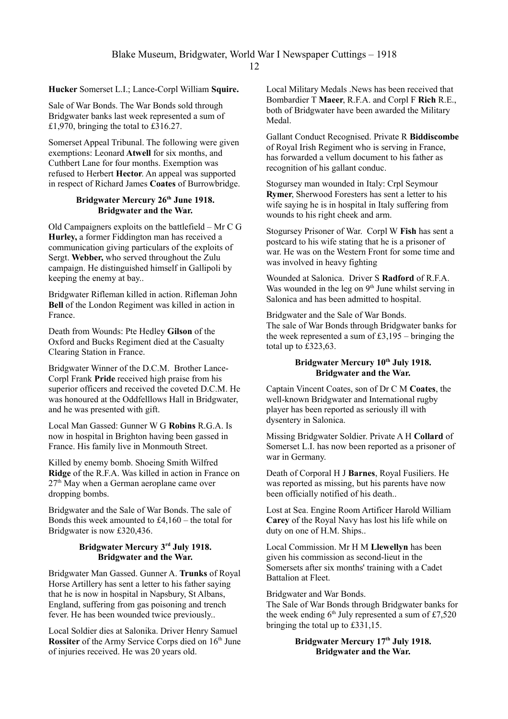**Hucker** Somerset L.I.; Lance-Corpl William **Squire.**

Sale of War Bonds. The War Bonds sold through Bridgwater banks last week represented a sum of £1,970, bringing the total to £316.27.

Somerset Appeal Tribunal. The following were given exemptions: Leonard **Atwell** for six months, and Cuthbert Lane for four months. Exemption was refused to Herbert **Hector**. An appeal was supported in respect of Richard James **Coates** of Burrowbridge.

# **Bridgwater Mercury 26th June 1918. Bridgwater and the War.**

Old Campaigners exploits on the battlefield – Mr C G **Hurley,** a former Fiddington man has received a communication giving particulars of the exploits of Sergt. **Webber,** who served throughout the Zulu campaign. He distinguished himself in Gallipoli by keeping the enemy at bay..

Bridgwater Rifleman killed in action. Rifleman John **Bell** of the London Regiment was killed in action in France.

Death from Wounds: Pte Hedley **Gilson** of the Oxford and Bucks Regiment died at the Casualty Clearing Station in France.

Bridgwater Winner of the D.C.M. Brother Lance-Corpl Frank **Pride** received high praise from his superior officers and received the coveted D.C.M. He was honoured at the Oddfelllows Hall in Bridgwater, and he was presented with gift.

Local Man Gassed: Gunner W G **Robins** R.G.A. Is now in hospital in Brighton having been gassed in France. His family live in Monmouth Street.

Killed by enemy bomb. Shoeing Smith Wilfred **Ridge** of the R.F.A. Was killed in action in France on  $27<sup>th</sup>$  May when a German aeroplane came over dropping bombs.

Bridgwater and the Sale of War Bonds. The sale of Bonds this week amounted to £4,160 – the total for Bridgwater is now £320,436.

## **Bridgwater Mercury 3rd July 1918. Bridgwater and the War.**

Bridgwater Man Gassed. Gunner A. **Trunks** of Royal Horse Artillery has sent a letter to his father saying that he is now in hospital in Napsbury, St Albans, England, suffering from gas poisoning and trench fever. He has been wounded twice previously..

Local Soldier dies at Salonika. Driver Henry Samuel **Rossiter** of the Army Service Corps died on 16<sup>th</sup> June of injuries received. He was 20 years old.

Local Military Medals .News has been received that Bombardier T **Maeer**, R.F.A. and Corpl F **Rich** R.E., both of Bridgwater have been awarded the Military Medal.

Gallant Conduct Recognised. Private R **Biddiscombe** of Royal Irish Regiment who is serving in France, has forwarded a vellum document to his father as recognition of his gallant conduc.

Stogursey man wounded in Italy: Crpl Seymour **Rymer**, Sherwood Foresters has sent a letter to his wife saying he is in hospital in Italy suffering from wounds to his right cheek and arm.

Stogursey Prisoner of War. Corpl W **Fish** has sent a postcard to his wife stating that he is a prisoner of war. He was on the Western Front for some time and was involved in heavy fighting

Wounded at Salonica. Driver S **Radford** of R.F.A. Was wounded in the leg on  $9<sup>th</sup>$  June whilst serving in Salonica and has been admitted to hospital.

Bridgwater and the Sale of War Bonds. The sale of War Bonds through Bridgwater banks for the week represented a sum of £3,195 – bringing the total up to £323,63.

# **Bridgwater Mercury 10th July 1918. Bridgwater and the War.**

Captain Vincent Coates, son of Dr C M **Coates**, the well-known Bridgwater and International rugby player has been reported as seriously ill with dysentery in Salonica.

Missing Bridgwater Soldier. Private A H **Collard** of Somerset L.I. has now been reported as a prisoner of war in Germany.

Death of Corporal H J **Barnes**, Royal Fusiliers. He was reported as missing, but his parents have now been officially notified of his death..

Lost at Sea. Engine Room Artificer Harold William **Carey** of the Royal Navy has lost his life while on duty on one of H.M. Ships..

Local Commission. Mr H M **Llewellyn** has been given his commission as second-lieut in the Somersets after six months' training with a Cadet Battalion at Fleet.

Bridgwater and War Bonds.

The Sale of War Bonds through Bridgwater banks for the week ending  $6<sup>th</sup>$  July represented a sum of £7,520 bringing the total up to £331,15.

# **Bridgwater Mercury 17th July 1918. Bridgwater and the War.**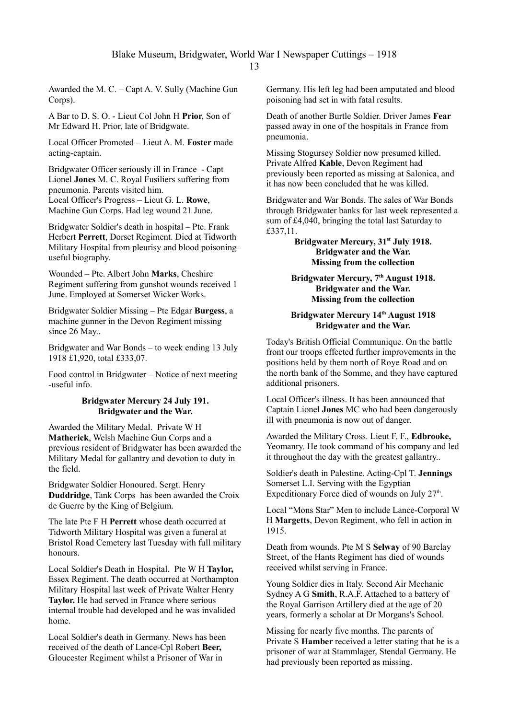Awarded the M. C. – Capt A. V. Sully (Machine Gun Corps).

A Bar to D. S. O. - Lieut Col John H **Prior**, Son of Mr Edward H. Prior, late of Bridgwate.

Local Officer Promoted – Lieut A. M. **Foster** made acting-captain.

Bridgwater Officer seriously ill in France - Capt Lionel **Jones** M. C. Royal Fusiliers suffering from pneumonia. Parents visited him. Local Officer's Progress – Lieut G. L. **Rowe**, Machine Gun Corps. Had leg wound 21 June.

Bridgwater Soldier's death in hospital – Pte. Frank Herbert **Perrett**, Dorset Regiment. Died at Tidworth Military Hospital from pleurisy and blood poisoning– useful biography.

Wounded – Pte. Albert John **Marks**, Cheshire Regiment suffering from gunshot wounds received 1 June. Employed at Somerset Wicker Works.

Bridgwater Soldier Missing – Pte Edgar **Burgess**, a machine gunner in the Devon Regiment missing since 26 May...

Bridgwater and War Bonds – to week ending 13 July 1918 £1,920, total £333,07.

Food control in Bridgwater – Notice of next meeting -useful info.

### **Bridgwater Mercury 24 July 191. Bridgwater and the War.**

Awarded the Military Medal. Private W H **Matherick**, Welsh Machine Gun Corps and a previous resident of Bridgwater has been awarded the Military Medal for gallantry and devotion to duty in the field.

Bridgwater Soldier Honoured. Sergt. Henry **Duddridge**, Tank Corps has been awarded the Croix de Guerre by the King of Belgium.

The late Pte F H **Perrett** whose death occurred at Tidworth Military Hospital was given a funeral at Bristol Road Cemetery last Tuesday with full military honours.

Local Soldier's Death in Hospital. Pte W H **Taylor,** Essex Regiment. The death occurred at Northampton Military Hospital last week of Private Walter Henry **Taylor.** He had served in France where serious internal trouble had developed and he was invalided home.

Local Soldier's death in Germany. News has been received of the death of Lance-Cpl Robert **Beer,** Gloucester Regiment whilst a Prisoner of War in

Germany. His left leg had been amputated and blood poisoning had set in with fatal results.

Death of another Burtle Soldier. Driver James **Fear**  passed away in one of the hospitals in France from pneumonia.

Missing Stogursey Soldier now presumed killed. Private Alfred **Kable**, Devon Regiment had previously been reported as missing at Salonica, and it has now been concluded that he was killed.

Bridgwater and War Bonds. The sales of War Bonds through Bridgwater banks for last week represented a sum of £4,040, bringing the total last Saturday to £337,11.

> **Bridgwater Mercury, 31st July 1918. Bridgwater and the War. Missing from the collection**

### **Bridgwater Mercury, 7 th August 1918. Bridgwater and the War. Missing from the collection**

### **Bridgwater Mercury 14th August 1918 Bridgwater and the War.**

Today's British Official Communique. On the battle front our troops effected further improvements in the positions held by them north of Roye Road and on the north bank of the Somme, and they have captured additional prisoners.

Local Officer's illness. It has been announced that Captain Lionel **Jones** MC who had been dangerously ill with pneumonia is now out of danger.

Awarded the Military Cross. Lieut F. F., **Edbrooke,** Yeomanry. He took command of his company and led it throughout the day with the greatest gallantry..

Soldier's death in Palestine. Acting-Cpl T. **Jennings** Somerset L.I. Serving with the Egyptian Expeditionary Force died of wounds on July 27<sup>th</sup>.

Local "Mons Star" Men to include Lance-Corporal W H **Margetts**, Devon Regiment, who fell in action in 1915.

Death from wounds. Pte M S **Selway** of 90 Barclay Street, of the Hants Regiment has died of wounds received whilst serving in France.

Young Soldier dies in Italy. Second Air Mechanic Sydney A G **Smith**, R.A.F. Attached to a battery of the Royal Garrison Artillery died at the age of 20 years, formerly a scholar at Dr Morgans's School.

Missing for nearly five months. The parents of Private S **Hamber** received a letter stating that he is a prisoner of war at Stammlager, Stendal Germany. He had previously been reported as missing.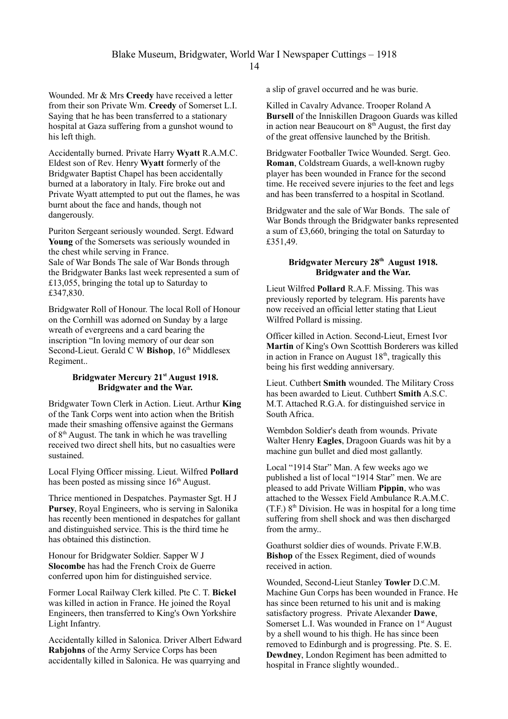Wounded. Mr & Mrs **Creedy** have received a letter from their son Private Wm. **Creedy** of Somerset L.I. Saying that he has been transferred to a stationary hospital at Gaza suffering from a gunshot wound to his left thigh.

Accidentally burned. Private Harry **Wyatt** R.A.M.C. Eldest son of Rev. Henry **Wyatt** formerly of the Bridgwater Baptist Chapel has been accidentally burned at a laboratory in Italy. Fire broke out and Private Wyatt attempted to put out the flames, he was burnt about the face and hands, though not dangerously.

Puriton Sergeant seriously wounded. Sergt. Edward **Young** of the Somersets was seriously wounded in the chest while serving in France. Sale of War Bonds The sale of War Bonds through the Bridgwater Banks last week represented a sum of £13,055, bringing the total up to Saturday to £347,830.

Bridgwater Roll of Honour. The local Roll of Honour on the Cornhill was adorned on Sunday by a large wreath of evergreens and a card bearing the inscription "In loving memory of our dear son Second-Lieut. Gerald C W Bishop, 16<sup>th</sup> Middlesex Regiment..

# **Bridgwater Mercury 21st August 1918. Bridgwater and the War.**

Bridgwater Town Clerk in Action. Lieut. Arthur **King** of the Tank Corps went into action when the British made their smashing offensive against the Germans of  $8<sup>th</sup>$  August. The tank in which he was travelling received two direct shell hits, but no casualties were sustained.

Local Flying Officer missing. Lieut. Wilfred **Pollard** has been posted as missing since  $16<sup>th</sup>$  August.

Thrice mentioned in Despatches. Paymaster Sgt. H J **Pursey**, Royal Engineers, who is serving in Salonika has recently been mentioned in despatches for gallant and distinguished service. This is the third time he has obtained this distinction.

Honour for Bridgwater Soldier. Sapper W J **Slocombe** has had the French Croix de Guerre conferred upon him for distinguished service.

Former Local Railway Clerk killed. Pte C. T. **Bickel** was killed in action in France. He joined the Royal Engineers, then transferred to King's Own Yorkshire Light Infantry.

Accidentally killed in Salonica. Driver Albert Edward **Rabjohns** of the Army Service Corps has been accidentally killed in Salonica. He was quarrying and

a slip of gravel occurred and he was burie.

Killed in Cavalry Advance. Trooper Roland A **Bursell** of the Inniskillen Dragoon Guards was killed in action near Beaucourt on  $8<sup>th</sup>$  August, the first day of the great offensive launched by the British.

Bridgwater Footballer Twice Wounded. Sergt. Geo. **Roman**, Coldstream Guards, a well-known rugby player has been wounded in France for the second time. He received severe injuries to the feet and legs and has been transferred to a hospital in Scotland.

Bridgwater and the sale of War Bonds. The sale of War Bonds through the Bridgwater banks represented a sum of £3,660, bringing the total on Saturday to £351,49.

## **Bridgwater Mercury 28 th August 1918. Bridgwater and the War.**

Lieut Wilfred **Pollard** R.A.F. Missing. This was previously reported by telegram. His parents have now received an official letter stating that Lieut Wilfred Pollard is missing.

Officer killed in Action. Second-Lieut, Ernest Ivor **Martin** of King's Own Scotttish Borderers was killed in action in France on August  $18<sup>th</sup>$ , tragically this being his first wedding anniversary.

Lieut. Cuthbert **Smith** wounded. The Military Cross has been awarded to Lieut. Cuthbert **Smith** A.S.C. M.T. Attached R.G.A. for distinguished service in South Africa.

Wembdon Soldier's death from wounds. Private Walter Henry **Eagles**, Dragoon Guards was hit by a machine gun bullet and died most gallantly.

Local "1914 Star" Man. A few weeks ago we published a list of local "1914 Star" men. We are pleased to add Private William **Pippin**, who was attached to the Wessex Field Ambulance R.A.M.C.  $(T.F.)$  8<sup>th</sup> Division. He was in hospital for a long time suffering from shell shock and was then discharged from the army..

Goathurst soldier dies of wounds. Private F.W.B. **Bishop** of the Essex Regiment, died of wounds received in action.

Wounded, Second-Lieut Stanley **Towler** D.C.M. Machine Gun Corps has been wounded in France. He has since been returned to his unit and is making satisfactory progress. Private Alexander **Dawe**, Somerset L.I. Was wounded in France on 1<sup>st</sup> August by a shell wound to his thigh. He has since been removed to Edinburgh and is progressing. Pte. S. E. **Dewdney**, London Regiment has been admitted to hospital in France slightly wounded..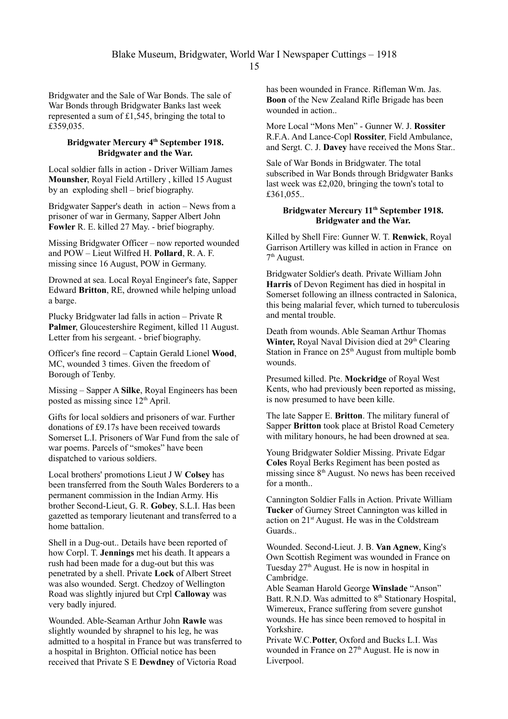Bridgwater and the Sale of War Bonds. The sale of War Bonds through Bridgwater Banks last week represented a sum of £1,545, bringing the total to £359,035.

# **Bridgwater Mercury 4th September 1918. Bridgwater and the War.**

Local soldier falls in action - Driver William James **Mounsher**, Royal Field Artillery , killed 15 August by an exploding shell – brief biography.

Bridgwater Sapper's death in action – News from a prisoner of war in Germany, Sapper Albert John **Fowler** R. E. killed 27 May. - brief biography.

Missing Bridgwater Officer – now reported wounded and POW – Lieut Wilfred H. **Pollard**, R. A. F. missing since 16 August, POW in Germany.

Drowned at sea. Local Royal Engineer's fate, Sapper Edward **Britton**, RE, drowned while helping unload a barge.

Plucky Bridgwater lad falls in action – Private R **Palmer**, Gloucestershire Regiment, killed 11 August. Letter from his sergeant. - brief biography.

Officer's fine record – Captain Gerald Lionel **Wood**, MC, wounded 3 times. Given the freedom of Borough of Tenby.

Missing – Sapper A **Silke**, Royal Engineers has been posted as missing since 12<sup>th</sup> April.

Gifts for local soldiers and prisoners of war. Further donations of £9.17s have been received towards Somerset L.I. Prisoners of War Fund from the sale of war poems. Parcels of "smokes" have been dispatched to various soldiers.

Local brothers' promotions Lieut J W **Colsey** has been transferred from the South Wales Borderers to a permanent commission in the Indian Army. His brother Second-Lieut, G. R. **Gobey**, S.L.I. Has been gazetted as temporary lieutenant and transferred to a home battalion.

Shell in a Dug-out.. Details have been reported of how Corpl. T. **Jennings** met his death. It appears a rush had been made for a dug-out but this was penetrated by a shell. Private **Lock** of Albert Street was also wounded. Sergt. Chedzoy of Wellington Road was slightly injured but Crpl **Calloway** was very badly injured.

Wounded. Able-Seaman Arthur John **Rawle** was slightly wounded by shrapnel to his leg, he was admitted to a hospital in France but was transferred to a hospital in Brighton. Official notice has been received that Private S E **Dewdney** of Victoria Road

has been wounded in France. Rifleman Wm. Jas. **Boon** of the New Zealand Rifle Brigade has been wounded in action..

More Local "Mons Men" - Gunner W. J. **Rossiter**  R.F.A. And Lance-Copl **Rossiter**, Field Ambulance, and Sergt. C. J. **Davey** have received the Mons Star..

Sale of War Bonds in Bridgwater. The total subscribed in War Bonds through Bridgwater Banks last week was £2,020, bringing the town's total to £361,055..

## **Bridgwater Mercury 11th September 1918. Bridgwater and the War.**

Killed by Shell Fire: Gunner W. T. **Renwick**, Royal Garrison Artillery was killed in action in France on 7<sup>th</sup> August.

Bridgwater Soldier's death. Private William John **Harris** of Devon Regiment has died in hospital in Somerset following an illness contracted in Salonica, this being malarial fever, which turned to tuberculosis and mental trouble.

Death from wounds. Able Seaman Arthur Thomas Winter, Royal Naval Division died at 29<sup>th</sup> Clearing Station in France on  $25<sup>th</sup>$  August from multiple bomb wounds.

Presumed killed. Pte. **Mockridge** of Royal West Kents, who had previously been reported as missing. is now presumed to have been kille.

The late Sapper E. **Britton**. The military funeral of Sapper **Britton** took place at Bristol Road Cemetery with military honours, he had been drowned at sea.

Young Bridgwater Soldier Missing. Private Edgar **Coles** Royal Berks Regiment has been posted as missing since  $8<sup>th</sup>$  August. No news has been received for a month..

Cannington Soldier Falls in Action. Private William **Tucker** of Gurney Street Cannington was killed in action on 21st August. He was in the Coldstream Guards..

Wounded. Second-Lieut. J. B. **Van Agnew**, King's Own Scottish Regiment was wounded in France on Tuesday  $27<sup>th</sup>$  August. He is now in hospital in Cambridge.

Able Seaman Harold George **Winslade** "Anson" Batt. R.N.D. Was admitted to 8<sup>th</sup> Stationary Hospital, Wimereux, France suffering from severe gunshot wounds. He has since been removed to hospital in Yorkshire.

Private W.C.**Potter**, Oxford and Bucks L.I. Was wounded in France on  $27<sup>th</sup>$  August. He is now in Liverpool.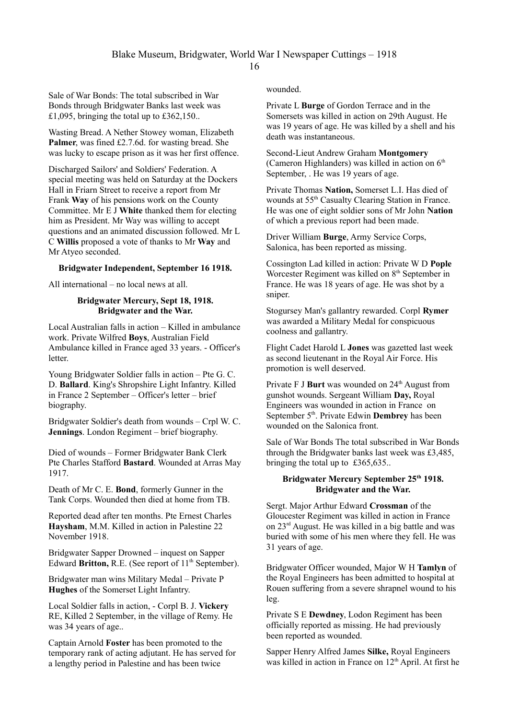Sale of War Bonds: The total subscribed in War Bonds through Bridgwater Banks last week was £1,095, bringing the total up to £362,150..

Wasting Bread. A Nether Stowey woman, Elizabeth Palmer, was fined £2.7.6d. for wasting bread. She was lucky to escape prison as it was her first offence.

Discharged Sailors' and Soldiers' Federation. A special meeting was held on Saturday at the Dockers Hall in Friarn Street to receive a report from Mr Frank **Way** of his pensions work on the County Committee. Mr E J **White** thanked them for electing him as President. Mr Way was willing to accept questions and an animated discussion followed. Mr L C **Willis** proposed a vote of thanks to Mr **Way** and Mr Atyeo seconded.

### **Bridgwater Independent, September 16 1918.**

All international – no local news at all.

## **Bridgwater Mercury, Sept 18, 1918. Bridgwater and the War.**

Local Australian falls in action – Killed in ambulance work. Private Wilfred **Boys**, Australian Field Ambulance killed in France aged 33 years. - Officer's letter.

Young Bridgwater Soldier falls in action – Pte G. C. D. **Ballard**. King's Shropshire Light Infantry. Killed in France 2 September – Officer's letter – brief biography.

Bridgwater Soldier's death from wounds – Crpl W. C. **Jennings**. London Regiment – brief biography.

Died of wounds – Former Bridgwater Bank Clerk Pte Charles Stafford **Bastard**. Wounded at Arras May 1917.

Death of Mr C. E. **Bond**, formerly Gunner in the Tank Corps. Wounded then died at home from TB.

Reported dead after ten months. Pte Ernest Charles **Haysham**, M.M. Killed in action in Palestine 22 November 1918.

Bridgwater Sapper Drowned – inquest on Sapper Edward **Britton,** R.E. (See report of 11<sup>th</sup> September).

Bridgwater man wins Military Medal – Private P **Hughes** of the Somerset Light Infantry.

Local Soldier falls in action, - Corpl B. J. **Vickery** RE, Killed 2 September, in the village of Remy. He was 34 years of age..

Captain Arnold **Foster** has been promoted to the temporary rank of acting adjutant. He has served for a lengthy period in Palestine and has been twice

wounded.

Private L **Burge** of Gordon Terrace and in the Somersets was killed in action on 29th August. He was 19 years of age. He was killed by a shell and his death was instantaneous.

Second-Lieut Andrew Graham **Montgomery** (Cameron Highlanders) was killed in action on  $6<sup>th</sup>$ September, . He was 19 years of age.

Private Thomas **Nation,** Somerset L.I. Has died of wounds at 55th Casualty Clearing Station in France. He was one of eight soldier sons of Mr John **Nation** of which a previous report had been made.

Driver William **Burge**, Army Service Corps, Salonica, has been reported as missing.

Cossington Lad killed in action: Private W D **Pople**  Worcester Regiment was killed on 8<sup>th</sup> September in France. He was 18 years of age. He was shot by a sniper.

Stogursey Man's gallantry rewarded. Corpl **Rymer** was awarded a Military Medal for conspicuous coolness and gallantry.

Flight Cadet Harold L **Jones** was gazetted last week as second lieutenant in the Royal Air Force. His promotion is well deserved.

Private F J **Burt** was wounded on 24<sup>th</sup> August from gunshot wounds. Sergeant William **Day,** Royal Engineers was wounded in action in France on September 5<sup>th</sup>. Private Edwin **Dembrey** has been wounded on the Salonica front.

Sale of War Bonds The total subscribed in War Bonds through the Bridgwater banks last week was £3,485, bringing the total up to £365,635..

### **Bridgwater Mercury September 25th 1918. Bridgwater and the War.**

Sergt. Major Arthur Edward **Crossman** of the Gloucester Regiment was killed in action in France on 23rd August. He was killed in a big battle and was buried with some of his men where they fell. He was 31 years of age.

Bridgwater Officer wounded, Major W H **Tamlyn** of the Royal Engineers has been admitted to hospital at Rouen suffering from a severe shrapnel wound to his leg.

Private S E **Dewdney**, Lodon Regiment has been officially reported as missing. He had previously been reported as wounded.

Sapper Henry Alfred James **Silke,** Royal Engineers was killed in action in France on 12<sup>th</sup> April. At first he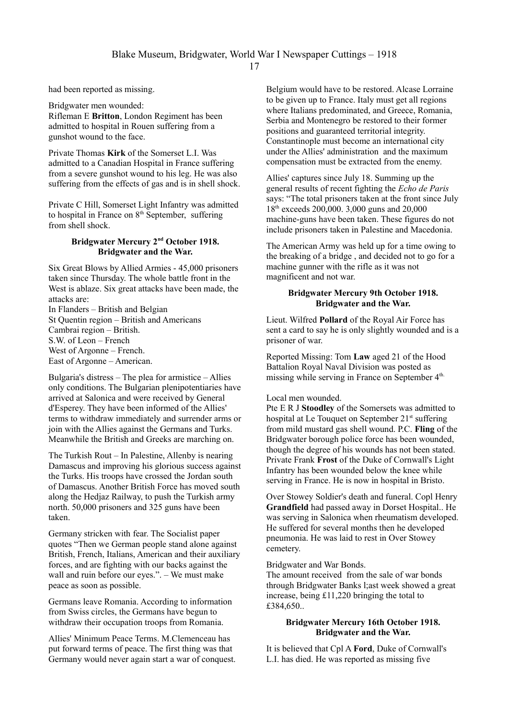had been reported as missing.

Bridgwater men wounded: Rifleman E **Britton**, London Regiment has been admitted to hospital in Rouen suffering from a gunshot wound to the face.

Private Thomas **Kirk** of the Somerset L.I. Was admitted to a Canadian Hospital in France suffering from a severe gunshot wound to his leg. He was also suffering from the effects of gas and is in shell shock.

Private C Hill, Somerset Light Infantry was admitted to hospital in France on  $8<sup>th</sup>$  September, suffering from shell shock.

# **Bridgwater Mercury 2nd October 1918. Bridgwater and the War.**

Six Great Blows by Allied Armies - 45,000 prisoners taken since Thursday. The whole battle front in the West is ablaze. Six great attacks have been made, the attacks are:

In Flanders – British and Belgian St Quentin region – British and Americans Cambrai region – British. S.W. of Leon – French West of Argonne – French. East of Argonne – American.

Bulgaria's distress – The plea for armistice – Allies only conditions. The Bulgarian plenipotentiaries have arrived at Salonica and were received by General d'Esperey. They have been informed of the Allies' terms to withdraw immediately and surrender arms or join with the Allies against the Germans and Turks. Meanwhile the British and Greeks are marching on.

The Turkish Rout – In Palestine, Allenby is nearing Damascus and improving his glorious success against the Turks. His troops have crossed the Jordan south of Damascus. Another British Force has moved south along the Hedjaz Railway, to push the Turkish army north. 50,000 prisoners and 325 guns have been taken.

Germany stricken with fear. The Socialist paper quotes "Then we German people stand alone against British, French, Italians, American and their auxiliary forces, and are fighting with our backs against the wall and ruin before our eyes.". – We must make peace as soon as possible.

Germans leave Romania. According to information from Swiss circles, the Germans have begun to withdraw their occupation troops from Romania.

Allies' Minimum Peace Terms. M.Clemenceau has put forward terms of peace. The first thing was that Germany would never again start a war of conquest. Belgium would have to be restored. Alcase Lorraine to be given up to France. Italy must get all regions where Italians predominated, and Greece, Romania, Serbia and Montenegro be restored to their former positions and guaranteed territorial integrity. Constantinople must become an international city under the Allies' administration and the maximum compensation must be extracted from the enemy.

Allies' captures since July 18. Summing up the general results of recent fighting the *Echo de Paris* says: "The total prisoners taken at the front since July 18th exceeds 200,000. 3,000 guns and 20,000 machine-guns have been taken. These figures do not include prisoners taken in Palestine and Macedonia.

The American Army was held up for a time owing to the breaking of a bridge , and decided not to go for a machine gunner with the rifle as it was not magnificent and not war.

#### **Bridgwater Mercury 9th October 1918. Bridgwater and the War.**

Lieut. Wilfred **Pollard** of the Royal Air Force has sent a card to say he is only slightly wounded and is a prisoner of war.

Reported Missing: Tom **Law** aged 21 of the Hood Battalion Royal Naval Division was posted as missing while serving in France on September 4<sup>th.</sup>

#### Local men wounded.

Pte E R J **Stoodley** of the Somersets was admitted to hospital at Le Touquet on September 21<sup>st</sup> suffering from mild mustard gas shell wound. P.C. **Fling** of the Bridgwater borough police force has been wounded, though the degree of his wounds has not been stated. Private Frank **Frost** of the Duke of Cornwall's Light Infantry has been wounded below the knee while serving in France. He is now in hospital in Bristo.

Over Stowey Soldier's death and funeral. Copl Henry **Grandfield** had passed away in Dorset Hospital.. He was serving in Salonica when rheumatism developed. He suffered for several months then he developed pneumonia. He was laid to rest in Over Stowey cemetery.

#### Bridgwater and War Bonds.

The amount received from the sale of war bonds through Bridgwater Banks l;ast week showed a great increase, being £11,220 bringing the total to £384,650..

### **Bridgwater Mercury 16th October 1918. Bridgwater and the War.**

It is believed that Cpl A **Ford**, Duke of Cornwall's L.I. has died. He was reported as missing five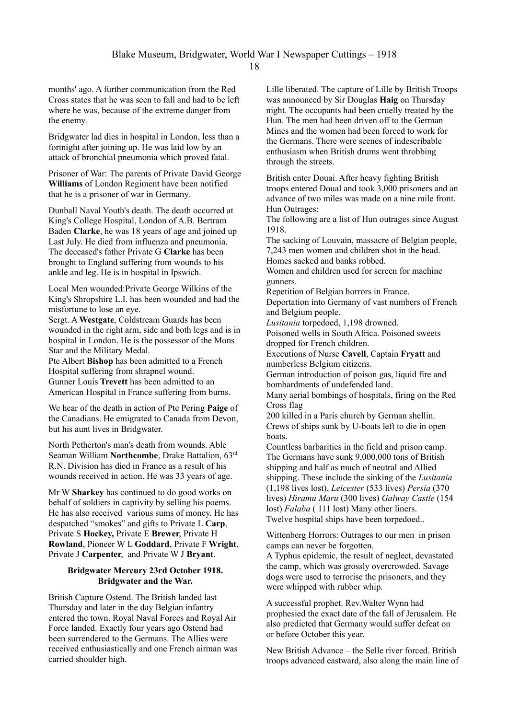months' ago. A further communication from the Red Cross states that he was seen to fall and had to be left where he was, because of the extreme danger from the enemy.

Bridgwater lad dies in hospital in London, less than a fortnight after joining up. He was laid low by an attack of bronchial pneumonia which proved fatal.

Prisoner of War: The parents of Private David George **Williams** of London Regiment have been notified that he is a prisoner of war in Germany.

Dunball Naval Youth's death. The death occurred at King's College Hospital, London of A.B. Bertram Baden **Clarke**, he was 18 years of age and joined up Last July. He died from influenza and pneumonia. The deceased's father Private G **Clarke** has been brought to England suffering from wounds to his ankle and leg. He is in hospital in Ipswich.

Local Men wounded:Private George Wilkins of the King's Shropshire L.I. has been wounded and had the misfortune to lose an eye.

Sergt. A **Westgate**, Coldstream Guards has been wounded in the right arm, side and both legs and is in hospital in London. He is the possessor of the Mons Star and the Military Medal.

Pte Albert **Bishop** has been admitted to a French Hospital suffering from shrapnel wound. Gunner Louis **Trevett** has been admitted to an American Hospital in France suffering from burns.

We hear of the death in action of Pte Pering **Paige** of the Canadians. He emigrated to Canada from Devon, but his aunt lives in Bridgwater.

North Petherton's man's death from wounds. Able Seaman William **Northcombe**, Drake Battalion, 63rd R.N. Division has died in France as a result of his wounds received in action. He was 33 years of age.

Mr W **Sharkey** has continued to do good works on behalf of soldiers in captivity by selling his poems. He has also received various sums of money. He has despatched "smokes" and gifts to Private L **Carp**, Private S **Hockey,** Private E **Brewer**, Private H **Rowland**, Pioneer W L **Goddard**, Private F **Wright**, Private J **Carpenter**, and Private W J **Bryant**.

### **Bridgwater Mercury 23rd October 1918. Bridgwater and the War.**

British Capture Ostend. The British landed last Thursday and later in the day Belgian infantry entered the town. Royal Naval Forces and Royal Air Force landed. Exactly four years ago Ostend had been surrendered to the Germans. The Allies were received enthusiastically and one French airman was carried shoulder high.

Lille liberated. The capture of Lille by British Troops was announced by Sir Douglas **Haig** on Thursday night. The occupants had been cruelly treated by the Hun. The men had been driven off to the German Mines and the women had been forced to work for the Germans. There were scenes of indescribable enthusiasm when British drums went throbbing through the streets.

British enter Douai. After heavy fighting British troops entered Doual and took 3,000 prisoners and an advance of two miles was made on a nine mile front. Hun Outrages:

The following are a list of Hun outrages since August 1918.

The sacking of Louvain, massacre of Belgian people, 7,243 men women and children shot in the head. Homes sacked and banks robbed.

Women and children used for screen for machine gunners.

Repetition of Belgian horrors in France.

Deportation into Germany of vast numbers of French and Belgium people.

*Lusitania* torpedoed, 1,198 drowned.

Poisoned wells in South Africa. Poisoned sweets dropped for French children.

Executions of Nurse **Cavell**, Captain **Fryatt** and numberless Belgium citizens.

German introduction of poison gas, liquid fire and bombardments of undefended land.

Many aerial bombings of hospitals, firing on the Red Cross flag

200 killed in a Paris church by German shellin. Crews of ships sunk by U-boats left to die in open boats.

Countless barbarities in the field and prison camp. The Germans have sunk 9,000,000 tons of British shipping and half as much of neutral and Allied shipping. These include the sinking of the *Lusitania* (1,198 lives lost), *Leicester* (533 lives) *Persia* (370 lives) *Hiramu Maru* (300 lives) *Galway Castle* (154 lost) *Falaba* ( 111 lost) Many other liners. Twelve hospital ships have been torpedoed..

Wittenberg Horrors: Outrages to our men in prison camps can never be forgotten.

A Typhus epidemic, the result of neglect, devastated the camp, which was grossly overcrowded. Savage dogs were used to terrorise the prisoners, and they were whipped with rubber whip.

A successful prophet. Rev.Walter Wynn had prophesied the exact date of the fall of Jerusalem. He also predicted that Germany would suffer defeat on or before October this year.

New British Advance – the Selle river forced. British troops advanced eastward, also along the main line of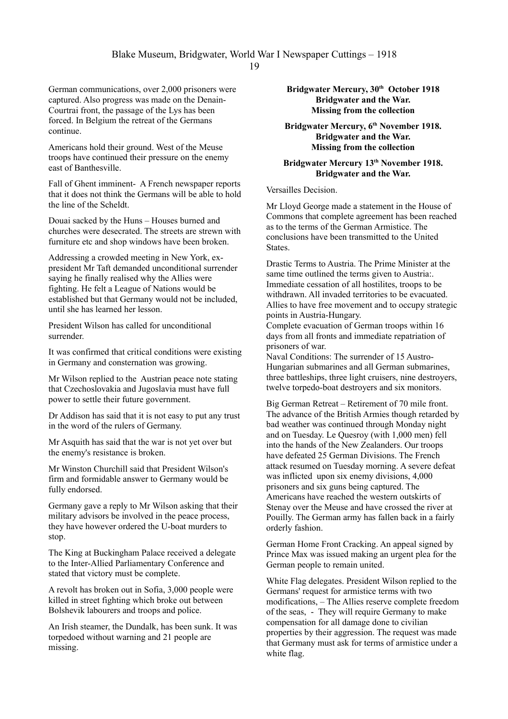German communications, over 2,000 prisoners were captured. Also progress was made on the Denain-Courtrai front, the passage of the Lys has been forced. In Belgium the retreat of the Germans continue.

Americans hold their ground. West of the Meuse troops have continued their pressure on the enemy east of Banthesville.

Fall of Ghent imminent- A French newspaper reports that it does not think the Germans will be able to hold the line of the Scheldt.

Douai sacked by the Huns – Houses burned and churches were desecrated. The streets are strewn with furniture etc and shop windows have been broken.

Addressing a crowded meeting in New York, expresident Mr Taft demanded unconditional surrender saying he finally realised why the Allies were fighting. He felt a League of Nations would be established but that Germany would not be included, until she has learned her lesson.

President Wilson has called for unconditional surrender.

It was confirmed that critical conditions were existing in Germany and consternation was growing.

Mr Wilson replied to the Austrian peace note stating that Czechoslovakia and Jugoslavia must have full power to settle their future government.

Dr Addison has said that it is not easy to put any trust in the word of the rulers of Germany.

Mr Asquith has said that the war is not yet over but the enemy's resistance is broken.

Mr Winston Churchill said that President Wilson's firm and formidable answer to Germany would be fully endorsed.

Germany gave a reply to Mr Wilson asking that their military advisors be involved in the peace process, they have however ordered the U-boat murders to stop.

The King at Buckingham Palace received a delegate to the Inter-Allied Parliamentary Conference and stated that victory must be complete.

A revolt has broken out in Sofia, 3,000 people were killed in street fighting which broke out between Bolshevik labourers and troops and police.

An Irish steamer, the Dundalk, has been sunk. It was torpedoed without warning and 21 people are missing.

**Bridgwater Mercury, 30th October 1918 Bridgwater and the War. Missing from the collection**

**Bridgwater Mercury, 6 th November 1918. Bridgwater and the War. Missing from the collection**

# **Bridgwater Mercury 13th November 1918. Bridgwater and the War.**

### Versailles Decision.

Mr Lloyd George made a statement in the House of Commons that complete agreement has been reached as to the terms of the German Armistice. The conclusions have been transmitted to the United States.

Drastic Terms to Austria. The Prime Minister at the same time outlined the terms given to Austria:. Immediate cessation of all hostilites, troops to be withdrawn. All invaded territories to be evacuated. Allies to have free movement and to occupy strategic points in Austria-Hungary.

Complete evacuation of German troops within 16 days from all fronts and immediate repatriation of prisoners of war.

Naval Conditions: The surrender of 15 Austro-Hungarian submarines and all German submarines, three battleships, three light cruisers, nine destroyers, twelve torpedo-boat destroyers and six monitors.

Big German Retreat – Retirement of 70 mile front. The advance of the British Armies though retarded by bad weather was continued through Monday night and on Tuesday. Le Quesroy (with 1,000 men) fell into the hands of the New Zealanders. Our troops have defeated 25 German Divisions. The French attack resumed on Tuesday morning. A severe defeat was inflicted upon six enemy divisions, 4,000 prisoners and six guns being captured. The Americans have reached the western outskirts of Stenay over the Meuse and have crossed the river at Pouilly. The German army has fallen back in a fairly orderly fashion.

German Home Front Cracking. An appeal signed by Prince Max was issued making an urgent plea for the German people to remain united.

White Flag delegates. President Wilson replied to the Germans' request for armistice terms with two modifications, – The Allies reserve complete freedom of the seas, - They will require Germany to make compensation for all damage done to civilian properties by their aggression. The request was made that Germany must ask for terms of armistice under a white flag.